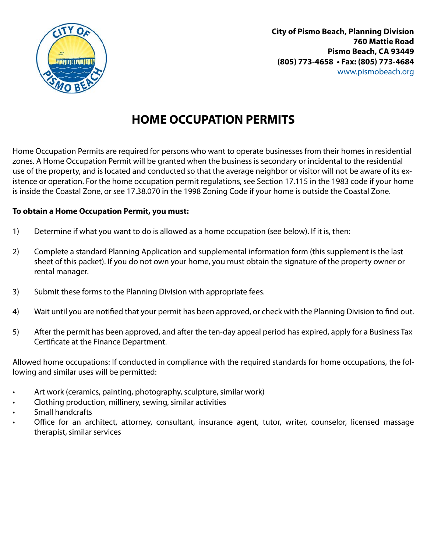

**City of Pismo Beach, Planning Division 760 Mattie Road Pismo Beach, CA 93449 (805) 773-4658 • Fax: (805) 773-4684** www.pismobeach.org

# **HOME OCCUPATION PERMITS**

Home Occupation Permits are required for persons who want to operate businesses from their homes in residential zones. A Home Occupation Permit will be granted when the business is secondary or incidental to the residential use of the property, and is located and conducted so that the average neighbor or visitor will not be aware of its existence or operation. For the home occupation permit regulations, see Section 17.115 in the 1983 code if your home is inside the Coastal Zone, or see 17.38.070 in the 1998 Zoning Code if your home is outside the Coastal Zone.

### **To obtain a Home Occupation Permit, you must:**

- 1) Determine if what you want to do is allowed as a home occupation (see below). If it is, then:
- 2) Complete a standard Planning Application and supplemental information form (this supplement is the last sheet of this packet). If you do not own your home, you must obtain the signature of the property owner or rental manager.
- 3) Submit these forms to the Planning Division with appropriate fees.
- 4) Wait until you are notified that your permit has been approved, or check with the Planning Division to find out.
- 5) After the permit has been approved, and after the ten-day appeal period has expired, apply for a Business Tax Certificate at the Finance Department.

Allowed home occupations: If conducted in compliance with the required standards for home occupations, the following and similar uses will be permitted:

- Art work (ceramics, painting, photography, sculpture, similar work)
- Clothing production, millinery, sewing, similar activities
- Small handcrafts
- Office for an architect, attorney, consultant, insurance agent, tutor, writer, counselor, licensed massage therapist, similar services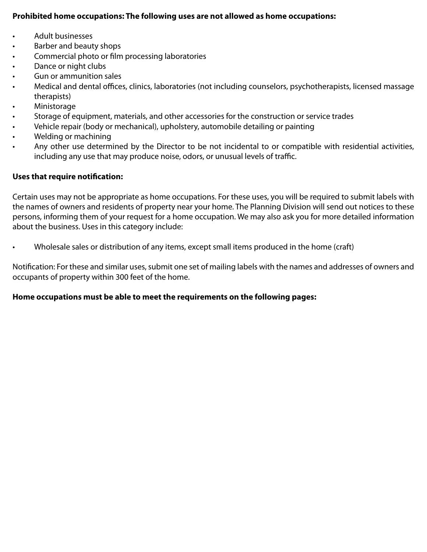#### **Prohibited home occupations: The following uses are not allowed as home occupations:**

- Adult businesses
- Barber and beauty shops
- Commercial photo or film processing laboratories
- Dance or night clubs
- Gun or ammunition sales
- Medical and dental offices, clinics, laboratories (not including counselors, psychotherapists, licensed massage therapists)
- **Ministorage**
- Storage of equipment, materials, and other accessories for the construction or service trades
- Vehicle repair (body or mechanical), upholstery, automobile detailing or painting
- Welding or machining
- Any other use determined by the Director to be not incidental to or compatible with residential activities, including any use that may produce noise, odors, or unusual levels of traffic.

#### **Uses that require notification:**

Certain uses may not be appropriate as home occupations. For these uses, you will be required to submit labels with the names of owners and residents of property near your home. The Planning Division will send out notices to these persons, informing them of your request for a home occupation. We may also ask you for more detailed information about the business. Uses in this category include:

• Wholesale sales or distribution of any items, except small items produced in the home (craft)

Notification: For these and similar uses, submit one set of mailing labels with the names and addresses of owners and occupants of property within 300 feet of the home.

#### **Home occupations must be able to meet the requirements on the following pages:**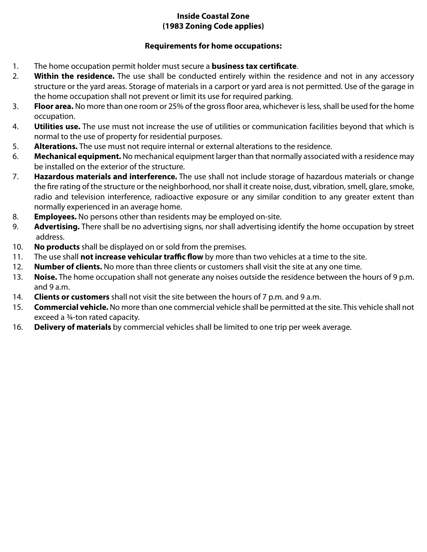## **Inside Coastal Zone (1983 Zoning Code applies)**

## **Requirements for home occupations:**

- 1. The home occupation permit holder must secure a **business tax certificate**.
- 2. **Within the residence.** The use shall be conducted entirely within the residence and not in any accessory structure or the yard areas. Storage of materials in a carport or yard area is not permitted. Use of the garage in the home occupation shall not prevent or limit its use for required parking.
- 3. **Floor area.** No more than one room or 25% of the gross floor area, whichever is less, shall be used for the home occupation.
- 4. **Utilities use.** The use must not increase the use of utilities or communication facilities beyond that which is normal to the use of property for residential purposes.
- 5. **Alterations.** The use must not require internal or external alterations to the residence.
- 6. **Mechanical equipment.** No mechanical equipment larger than that normally associated with a residence may be installed on the exterior of the structure.
- 7. **Hazardous materials and interference.** The use shall not include storage of hazardous materials or change the fire rating of the structure or the neighborhood, nor shall it create noise, dust, vibration, smell, glare, smoke, radio and television interference, radioactive exposure or any similar condition to any greater extent than normally experienced in an average home.
- 8. **Employees.** No persons other than residents may be employed on-site.
- 9. **Advertising.** There shall be no advertising signs, nor shall advertising identify the home occupation by street address.
- 10. **No products** shall be displayed on or sold from the premises.
- 11. The use shall **not increase vehicular traffic flow** by more than two vehicles at a time to the site.
- 12. **Number of clients.** No more than three clients or customers shall visit the site at any one time.
- 13. **Noise.** The home occupation shall not generate any noises outside the residence between the hours of 9 p.m. and 9 a.m.
- 14. **Clients or customers** shall not visit the site between the hours of 7 p.m. and 9 a.m.
- 15. **Commercial vehicle.** No more than one commercial vehicle shall be permitted at the site. This vehicle shall not exceed a ¾-ton rated capacity.
- 16. **Delivery of materials** by commercial vehicles shall be limited to one trip per week average.